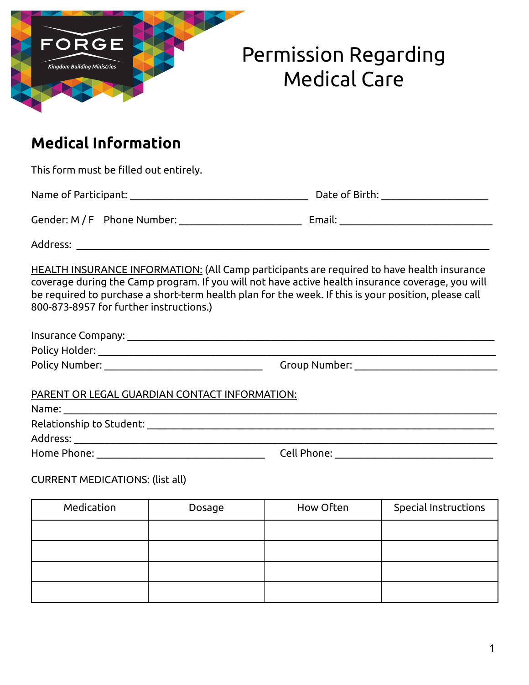

## Permission Regarding Medical Care

## **Medical Information**

This form must be filled out entirely.

Name of Participant: \_\_\_\_\_\_\_\_\_\_\_\_\_\_\_\_\_\_\_\_\_\_\_\_\_\_\_\_\_\_\_\_\_\_\_ Date of Birth: \_\_\_\_\_\_\_\_\_\_\_\_\_\_\_\_\_\_\_\_\_

Gender: M / F Phone Number: \_\_\_\_\_\_\_\_\_\_\_\_\_\_\_\_\_\_\_\_\_\_\_\_ Email: \_\_\_\_\_\_\_\_\_\_\_\_\_\_\_\_\_\_\_\_\_\_\_\_\_\_\_\_\_\_

Address: where  $\overline{a}$ 

HEALTH INSURANCE INFORMATION: (All Camp participants are required to have health insurance coverage during the Camp program. If you will not have active health insurance coverage, you will be required to purchase a short-term health plan for the week. If this is your position, please call 800-873-8957 for further instructions.)

| Insurance Company: |               |
|--------------------|---------------|
| Policy Holder:     |               |
| Policy Number:     | Group Number: |

| PARENT OR LEGAL GUARDIAN CONTACT INFORMATION: |  |
|-----------------------------------------------|--|
|                                               |  |

| Name:                    |             |  |
|--------------------------|-------------|--|
| Relationship to Student: |             |  |
| Address:                 |             |  |
| Home Phone:              | Cell Phone: |  |

## CURRENT MEDICATIONS: (list all)

| Medication | Dosage | How Often | Special Instructions |
|------------|--------|-----------|----------------------|
|            |        |           |                      |
|            |        |           |                      |
|            |        |           |                      |
|            |        |           |                      |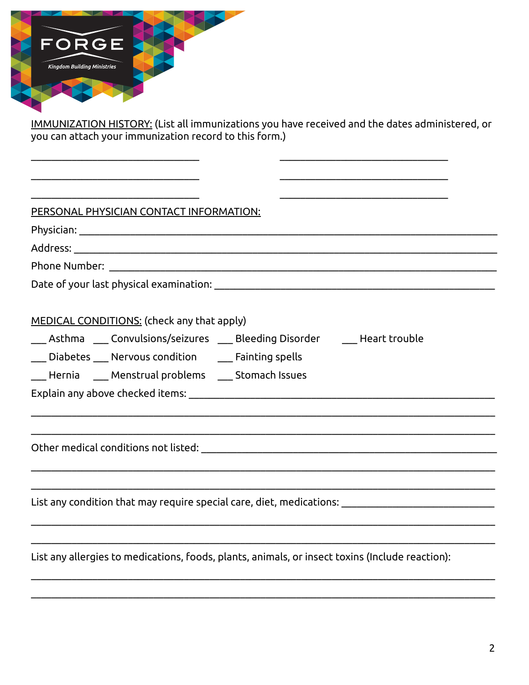

<u>IMMUNIZATION HISTORY:</u> (List all immunizations you have received and the dates administered, or<br>you can attach your immunization record to this form.)

| PERSONAL PHYSICIAN CONTACT INFORMATION:                                                             |
|-----------------------------------------------------------------------------------------------------|
|                                                                                                     |
|                                                                                                     |
|                                                                                                     |
|                                                                                                     |
| MEDICAL CONDITIONS: (check any that apply)                                                          |
| ___ Asthma   ___ Convulsions/seizures   ___ Bleeding Disorder       ___ Heart trouble               |
| __ Diabetes __ Nervous condition __ Fainting spells                                                 |
| __ Hernia ___ Menstrual problems ___ Stomach Issues                                                 |
|                                                                                                     |
|                                                                                                     |
| List any condition that may require special care, diet, medications: with any condition that was no |
| List any allergies to medications, foods, plants, animals, or insect toxins (Include reaction):     |